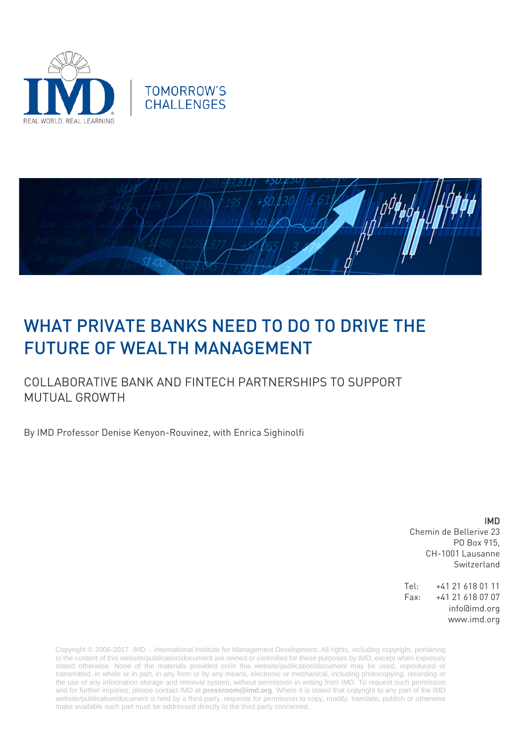





## WHAT PRIVATE BANKS NEED TO DO TO DRIVE THE FUTURE OF WEALTH MANAGEMENT

## COLLABORATIVE BANK AND FINTECH PARTNERSHIPS TO SUPPORT MUTUAL GROWTH

By IMD Professor Denise Kenyon-Rouvinez, with Enrica Sighinolfi

IMD Chemin de Bellerive 23 PO Box 915, CH-1001 Lausanne Switzerland

Tel: +41 21 618 01 11 Fax: +41 21 618 07 07 info@imd.org www.imd.org

Copyright © 2006-2017 IMD - International Institute for Management Development. All rights, including copyright, pertaining to the content of this website/publication/document are owned or controlled for these purposes by IMD, except when expressly stated otherwise. None of the materials provided on/in this website/publication/document may be used, reproduced or transmitted, in whole or in part, in any form or by any means, electronic or mechanical, including photocopying, recording or the use of any information storage and retrieval system, without permission in writing from IMD. To request such permission and for further inquiries, please contact IMD at **[pressroom@imd.org](mailto:pressroom@imd.org)**. Where it is stated that copyright to any part of the IMD website/publication/document is held by a third party, requests for permission to copy, modify, translate, publish or otherwise make available such part must be addressed directly to the third party concerned.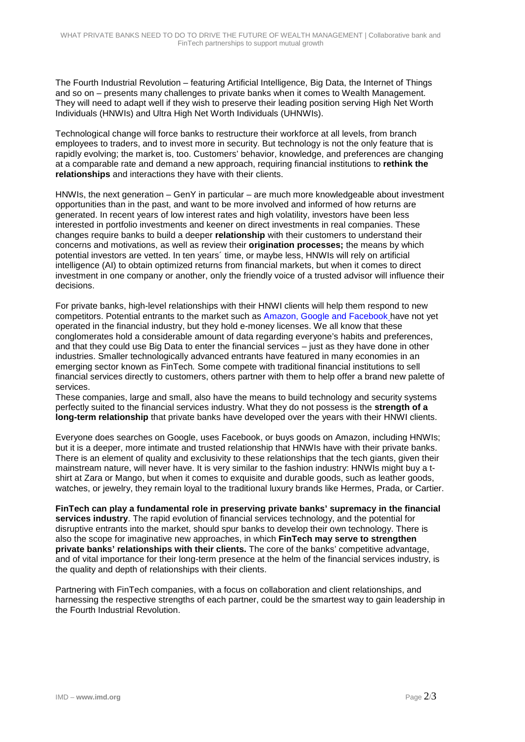The Fourth Industrial Revolution – featuring Artificial Intelligence, Big Data, the Internet of Things and so on – presents many challenges to private banks when it comes to Wealth Management. They will need to adapt well if they wish to preserve their leading position serving High Net Worth Individuals (HNWIs) and Ultra High Net Worth Individuals (UHNWIs).

Technological change will force banks to restructure their workforce at all levels, from branch employees to traders, and to invest more in security. But technology is not the only feature that is rapidly evolving; the market is, too. Customers' behavior, knowledge, and preferences are changing at a comparable rate and demand a new approach, requiring financial institutions to **rethink the relationships** and interactions they have with their clients.

HNWIs, the next generation – GenY in particular – are much more knowledgeable about investment opportunities than in the past, and want to be more involved and informed of how returns are generated. In recent years of low interest rates and high volatility, investors have been less interested in portfolio investments and keener on direct investments in real companies. These changes require banks to build a deeper **relationship** with their customers to understand their concerns and motivations, as well as review their **origination processes;** the means by which potential investors are vetted. In ten years´ time, or maybe less, HNWIs will rely on artificial intelligence (AI) to obtain optimized returns from financial markets, but when it comes to direct investment in one company or another, only the friendly voice of a trusted advisor will influence their decisions.

For private banks, high-level relationships with their HNWI clients will help them respond to new competitors. Potential entrants to the market such as [Amazon, Google](mailto:http://www.reuters.com/article/us-wealth-financialservices-survey-idUSKBN14V2I2) and Facebook have not yet operated in the financial industry, but they hold e-money licenses. We all know that these conglomerates hold a considerable amount of data regarding everyone's habits and preferences, and that they could use Big Data to enter the financial services – just as they have done in other industries. Smaller technologically advanced entrants have featured in many economies in an emerging sector known as FinTech*.* Some compete with traditional financial institutions to sell financial services directly to customers, others partner with them to help offer a brand new palette of services.

These companies, large and small, also have the means to build technology and security systems perfectly suited to the financial services industry. What they do not possess is the **strength of a long-term relationship** that private banks have developed over the years with their HNWI clients.

Everyone does searches on Google, uses Facebook, or buys goods on Amazon, including HNWIs; but it is a deeper, more intimate and trusted relationship that HNWIs have with their private banks. There is an element of quality and exclusivity to these relationships that the tech giants, given their mainstream nature, will never have. It is very similar to the fashion industry: HNWIs might buy a tshirt at Zara or Mango, but when it comes to exquisite and durable goods, such as leather goods, watches, or jewelry, they remain loyal to the traditional luxury brands like Hermes, Prada, or Cartier.

**FinTech can play a fundamental role in preserving private banks' supremacy in the financial services industry**. The rapid evolution of financial services technology, and the potential for disruptive entrants into the market, should spur banks to develop their own technology. There is also the scope for imaginative new approaches, in which **FinTech may serve to strengthen private banks' relationships with their clients.** The core of the banks' competitive advantage, and of vital importance for their long-term presence at the helm of the financial services industry, is the quality and depth of relationships with their clients.

Partnering with FinTech companies, with a focus on collaboration and client relationships, and harnessing the respective strengths of each partner, could be the smartest way to gain leadership in the Fourth Industrial Revolution.